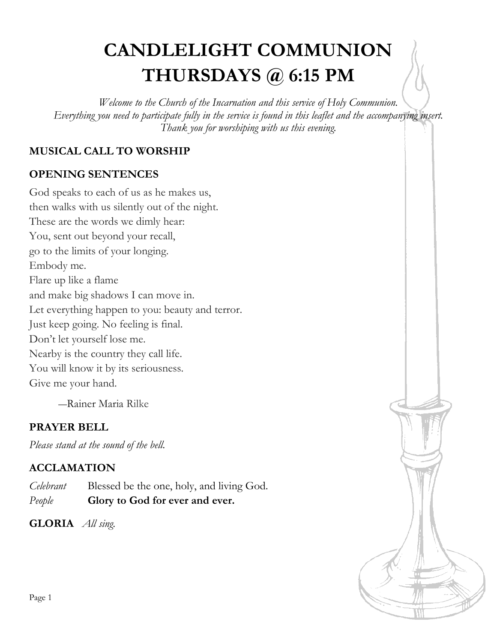# **CANDLELIGHT COMMUNION THURSDAYS @ 6:15 PM**

*Welcome to the Church of the Incarnation and this service of Holy Communion.* Everything you need to participate fully in the service is found in this leaflet and the accompanying insert. *Thank you for worshiping with us this evening.*

# **MUSICAL CALL TO WORSHIP**

#### **OPENING SENTENCES**

God speaks to each of us as he makes us, then walks with us silently out of the night. These are the words we dimly hear: You, sent out beyond your recall, go to the limits of your longing. Embody me. Flare up like a flame and make big shadows I can move in. Let everything happen to you: beauty and terror. Just keep going. No feeling is final. Don't let yourself lose me. Nearby is the country they call life. You will know it by its seriousness. Give me your hand.

―Rainer Maria Rilke

# **PRAYER BELL**

*Please stand at the sound of the bell.*

# **ACCLAMATION**

*Celebrant* Blessed be the one, holy, and living God. *People* **Glory to God for ever and ever.**

**GLORIA** *All sing.*

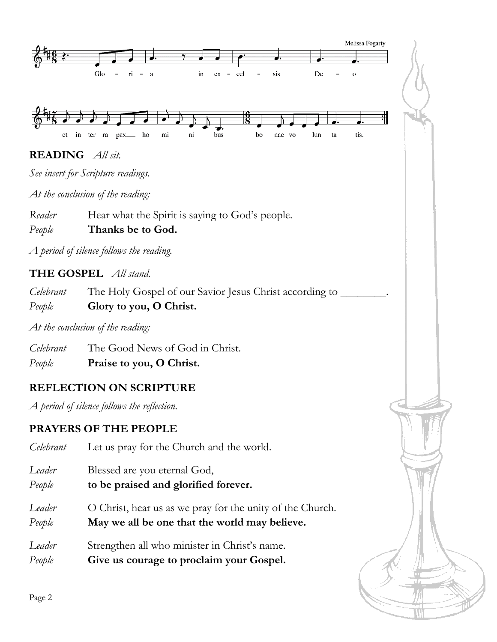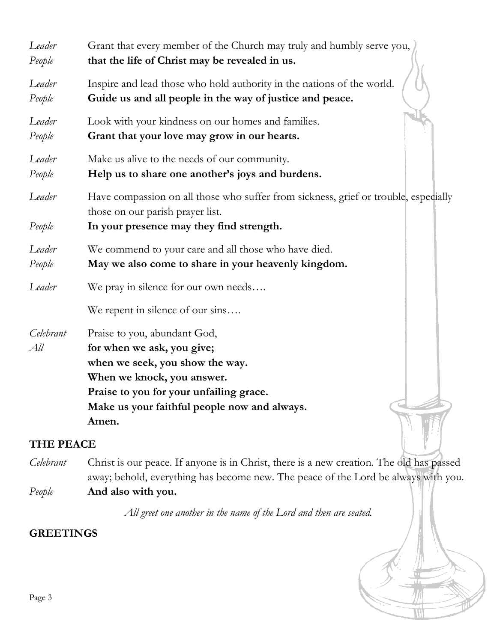| Leader<br>People | Grant that every member of the Church may truly and humbly serve you,<br>that the life of Christ may be revealed in us.                                                                                                         |
|------------------|---------------------------------------------------------------------------------------------------------------------------------------------------------------------------------------------------------------------------------|
| Leader<br>People | Inspire and lead those who hold authority in the nations of the world.<br>Guide us and all people in the way of justice and peace.                                                                                              |
| Leader<br>People | Look with your kindness on our homes and families.<br>Grant that your love may grow in our hearts.                                                                                                                              |
| Leader<br>People | Make us alive to the needs of our community.<br>Help us to share one another's joys and burdens.                                                                                                                                |
| Leader           | Have compassion on all those who suffer from sickness, grief or trouble, especially<br>those on our parish prayer list.                                                                                                         |
| People           | In your presence may they find strength.                                                                                                                                                                                        |
| Leader<br>People | We commend to your care and all those who have died.<br>May we also come to share in your heavenly kingdom.                                                                                                                     |
| Leader           | We pray in silence for our own needs                                                                                                                                                                                            |
|                  | We repent in silence of our sins                                                                                                                                                                                                |
| Celebrant<br>All | Praise to you, abundant God,<br>for when we ask, you give;<br>when we seek, you show the way.<br>When we knock, you answer.<br>Praise to you for your unfailing grace.<br>Make us your faithful people now and always.<br>Amen. |
| <b>THE PEACE</b> |                                                                                                                                                                                                                                 |

*Celebrant* Christ is our peace. If anyone is in Christ, there is a new creation. The old has passed away; behold, everything has become new. The peace of the Lord be always with you. *People* **And also with you.**

*All greet one another in the name of the Lord and then are seated.*

# **GREETINGS**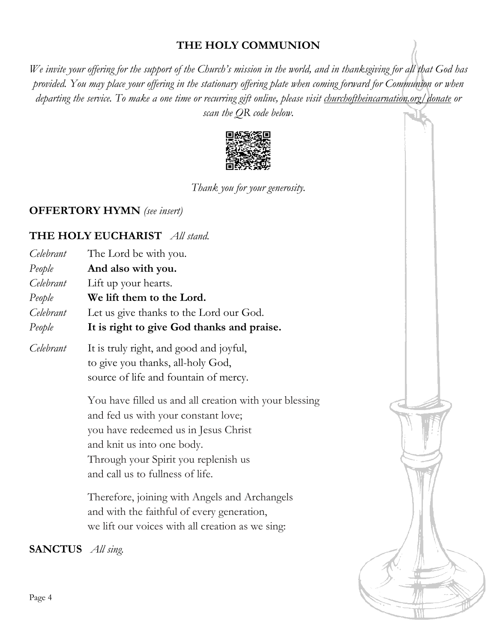#### **THE HOLY COMMUNION**

We invite your offering for the support of the Church's mission in the world, and in thanksgiving for all that God has provided. You may place your offering in the stationary offering plate when coming forward for Communion or when departing the service. To make a one time or recurring gift online, please visit [churchoftheincarnation.org/](http://www.churchoftheincarnation.org/)donate or *scan the QR code below.*



*Thank you for your generosity.*

#### **OFFERTORY HYMN** *(see insert)*

#### **THE HOLY EUCHARIST** *All stand.*

*Celebrant* The Lord be with you. *People* **And also with you.** *Celebrant* Lift up your hearts. *People* **We lift them to the Lord.** *Celebrant* Let us give thanks to the Lord our God. *People* **It is right to give God thanks and praise.** *Celebrant* It is truly right, and good and joyful, to give you thanks, all-holy God, source of life and fountain of mercy. You have filled us and all creation with your blessing and fed us with your constant love; you have redeemed us in Jesus Christ and knit us into one body. Through your Spirit you replenish us and call us to fullness of life. Therefore, joining with Angels and Archangels and with the faithful of every generation, we lift our voices with all creation as we sing: **SANCTUS** *All sing.*

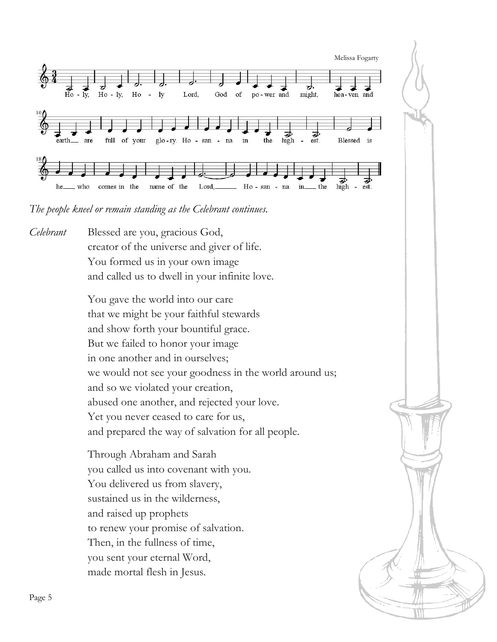

*The people kneel or remain standing as the Celebrant continues.*

*Celebrant* Blessed are you, gracious God, creator of the universe and giver of life. You formed us in your own image and called us to dwell in your infinite love.

> You gave the world into our care that we might be your faithful stewards and show forth your bountiful grace. But we failed to honor your image in one another and in ourselves; we would not see your goodness in the world around us; and so we violated your creation, abused one another, and rejected your love. Yet you never ceased to care for us, and prepared the way of salvation for all people.

Through Abraham and Sarah you called us into covenant with you. You delivered us from slavery, sustained us in the wilderness, and raised up prophets to renew your promise of salvation. Then, in the fullness of time, you sent your eternal Word, made mortal flesh in Jesus.

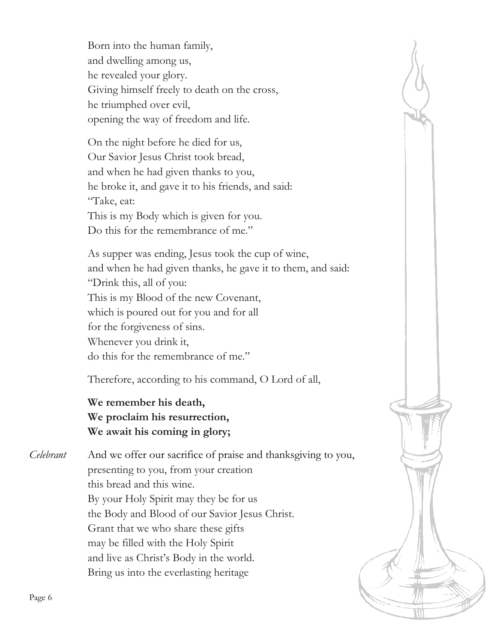Born into the human family, and dwelling among us, he revealed your glory. Giving himself freely to death on the cross, he triumphed over evil, opening the way of freedom and life.

On the night before he died for us, Our Savior Jesus Christ took bread, and when he had given thanks to you, he broke it, and gave it to his friends, and said: "Take, eat: This is my Body which is given for you. Do this for the remembrance of me."

As supper was ending, Jesus took the cup of wine, and when he had given thanks, he gave it to them, and said: "Drink this, all of you: This is my Blood of the new Covenant, which is poured out for you and for all for the forgiveness of sins. Whenever you drink it, do this for the remembrance of me."

Therefore, according to his command, O Lord of all,

# **We remember his death, We proclaim his resurrection, We await his coming in glory;**

*Celebrant* And we offer our sacrifice of praise and thanksgiving to you, presenting to you, from your creation this bread and this wine. By your Holy Spirit may they be for us the Body and Blood of our Savior Jesus Christ. Grant that we who share these gifts may be filled with the Holy Spirit and live as Christ's Body in the world. Bring us into the everlasting heritage

![](_page_5_Picture_6.jpeg)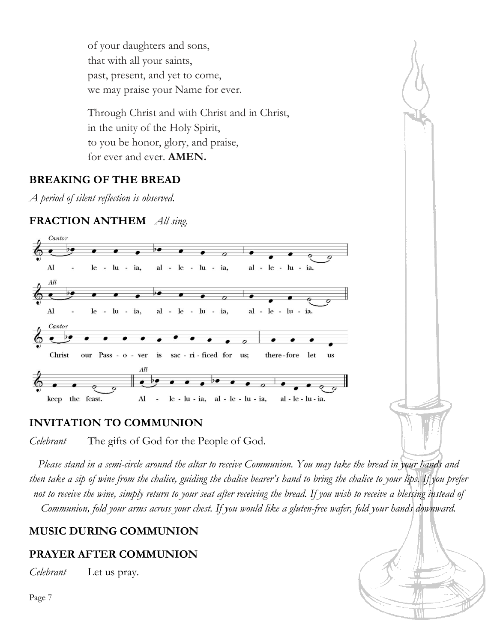of your daughters and sons, that with all your saints, past, present, and yet to come, we may praise your Name for ever.

Through Christ and with Christ and in Christ, in the unity of the Holy Spirit, to you be honor, glory, and praise, for ever and ever. **AMEN.**

#### **BREAKING OF THE BREAD**

*A period of silent reflection is observed.*

# **FRACTION ANTHEM** *All sing.*

![](_page_6_Figure_5.jpeg)

#### **INVITATION TO COMMUNION**

*Celebrant* The gifts of God for the People of God.

Please stand in a semi-circle around the altar to receive Communion. You may take the bread in your hands and then take a sip of wine from the chalice, guiding the chalice bearer's hand to bring the chalice to your lips. If you prefer not to receive the wine, simply return to your seat after receiving the bread. If you wish to receive a blessing instead of Communion, fold your arms across your chest. If you would like a gluten-free wafer, fold your hands downward.

# **MUSIC DURING COMMUNION**

# **PRAYER AFTER COMMUNION**

*Celebrant* Let us pray.

Page 7